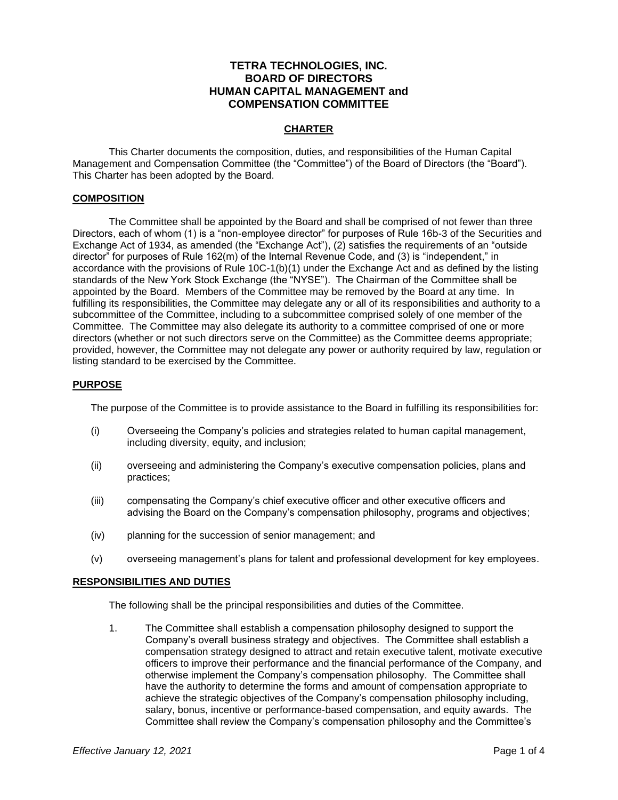# **TETRA TECHNOLOGIES, INC. BOARD OF DIRECTORS HUMAN CAPITAL MANAGEMENT and COMPENSATION COMMITTEE**

### **CHARTER**

This Charter documents the composition, duties, and responsibilities of the Human Capital Management and Compensation Committee (the "Committee") of the Board of Directors (the "Board"). This Charter has been adopted by the Board.

#### **COMPOSITION**

The Committee shall be appointed by the Board and shall be comprised of not fewer than three Directors, each of whom (1) is a "non-employee director" for purposes of Rule 16b-3 of the Securities and Exchange Act of 1934, as amended (the "Exchange Act"), (2) satisfies the requirements of an "outside director" for purposes of Rule 162(m) of the Internal Revenue Code, and (3) is "independent," in accordance with the provisions of Rule 10C-1(b)(1) under the Exchange Act and as defined by the listing standards of the New York Stock Exchange (the "NYSE"). The Chairman of the Committee shall be appointed by the Board. Members of the Committee may be removed by the Board at any time. In fulfilling its responsibilities, the Committee may delegate any or all of its responsibilities and authority to a subcommittee of the Committee, including to a subcommittee comprised solely of one member of the Committee. The Committee may also delegate its authority to a committee comprised of one or more directors (whether or not such directors serve on the Committee) as the Committee deems appropriate; provided, however, the Committee may not delegate any power or authority required by law, regulation or listing standard to be exercised by the Committee.

#### **PURPOSE**

The purpose of the Committee is to provide assistance to the Board in fulfilling its responsibilities for:

- (i) Overseeing the Company's policies and strategies related to human capital management, including diversity, equity, and inclusion;
- (ii) overseeing and administering the Company's executive compensation policies, plans and practices;
- (iii) compensating the Company's chief executive officer and other executive officers and advising the Board on the Company's compensation philosophy, programs and objectives;
- (iv) planning for the succession of senior management; and
- (v) overseeing management's plans for talent and professional development for key employees.

#### **RESPONSIBILITIES AND DUTIES**

The following shall be the principal responsibilities and duties of the Committee.

1. The Committee shall establish a compensation philosophy designed to support the Company's overall business strategy and objectives. The Committee shall establish a compensation strategy designed to attract and retain executive talent, motivate executive officers to improve their performance and the financial performance of the Company, and otherwise implement the Company's compensation philosophy. The Committee shall have the authority to determine the forms and amount of compensation appropriate to achieve the strategic objectives of the Company's compensation philosophy including, salary, bonus, incentive or performance-based compensation, and equity awards. The Committee shall review the Company's compensation philosophy and the Committee's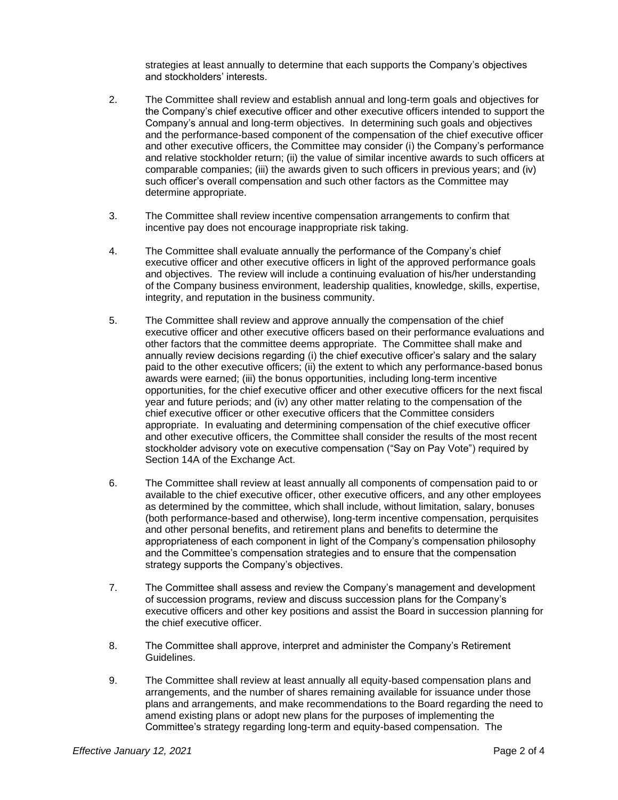strategies at least annually to determine that each supports the Company's objectives and stockholders' interests.

- 2. The Committee shall review and establish annual and long-term goals and objectives for the Company's chief executive officer and other executive officers intended to support the Company's annual and long-term objectives. In determining such goals and objectives and the performance-based component of the compensation of the chief executive officer and other executive officers, the Committee may consider (i) the Company's performance and relative stockholder return; (ii) the value of similar incentive awards to such officers at comparable companies; (iii) the awards given to such officers in previous years; and (iv) such officer's overall compensation and such other factors as the Committee may determine appropriate.
- 3. The Committee shall review incentive compensation arrangements to confirm that incentive pay does not encourage inappropriate risk taking.
- 4. The Committee shall evaluate annually the performance of the Company's chief executive officer and other executive officers in light of the approved performance goals and objectives. The review will include a continuing evaluation of his/her understanding of the Company business environment, leadership qualities, knowledge, skills, expertise, integrity, and reputation in the business community.
- 5. The Committee shall review and approve annually the compensation of the chief executive officer and other executive officers based on their performance evaluations and other factors that the committee deems appropriate. The Committee shall make and annually review decisions regarding (i) the chief executive officer's salary and the salary paid to the other executive officers; (ii) the extent to which any performance-based bonus awards were earned; (iii) the bonus opportunities, including long-term incentive opportunities, for the chief executive officer and other executive officers for the next fiscal year and future periods; and (iv) any other matter relating to the compensation of the chief executive officer or other executive officers that the Committee considers appropriate. In evaluating and determining compensation of the chief executive officer and other executive officers, the Committee shall consider the results of the most recent stockholder advisory vote on executive compensation ("Say on Pay Vote") required by Section 14A of the Exchange Act.
- 6. The Committee shall review at least annually all components of compensation paid to or available to the chief executive officer, other executive officers, and any other employees as determined by the committee, which shall include, without limitation, salary, bonuses (both performance-based and otherwise), long-term incentive compensation, perquisites and other personal benefits, and retirement plans and benefits to determine the appropriateness of each component in light of the Company's compensation philosophy and the Committee's compensation strategies and to ensure that the compensation strategy supports the Company's objectives.
- 7. The Committee shall assess and review the Company's management and development of succession programs, review and discuss succession plans for the Company's executive officers and other key positions and assist the Board in succession planning for the chief executive officer.
- 8. The Committee shall approve, interpret and administer the Company's Retirement Guidelines.
- 9. The Committee shall review at least annually all equity-based compensation plans and arrangements, and the number of shares remaining available for issuance under those plans and arrangements, and make recommendations to the Board regarding the need to amend existing plans or adopt new plans for the purposes of implementing the Committee's strategy regarding long-term and equity-based compensation. The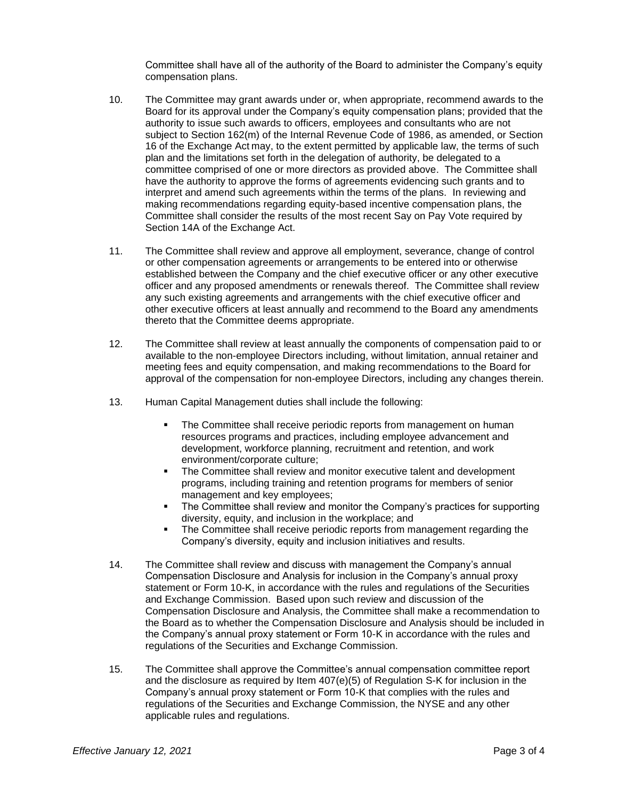Committee shall have all of the authority of the Board to administer the Company's equity compensation plans.

- 10. The Committee may grant awards under or, when appropriate, recommend awards to the Board for its approval under the Company's equity compensation plans; provided that the authority to issue such awards to officers, employees and consultants who are not subject to Section 162(m) of the Internal Revenue Code of 1986, as amended, or Section 16 of the Exchange Act may, to the extent permitted by applicable law, the terms of such plan and the limitations set forth in the delegation of authority, be delegated to a committee comprised of one or more directors as provided above. The Committee shall have the authority to approve the forms of agreements evidencing such grants and to interpret and amend such agreements within the terms of the plans. In reviewing and making recommendations regarding equity-based incentive compensation plans, the Committee shall consider the results of the most recent Say on Pay Vote required by Section 14A of the Exchange Act.
- 11. The Committee shall review and approve all employment, severance, change of control or other compensation agreements or arrangements to be entered into or otherwise established between the Company and the chief executive officer or any other executive officer and any proposed amendments or renewals thereof. The Committee shall review any such existing agreements and arrangements with the chief executive officer and other executive officers at least annually and recommend to the Board any amendments thereto that the Committee deems appropriate.
- 12. The Committee shall review at least annually the components of compensation paid to or available to the non-employee Directors including, without limitation, annual retainer and meeting fees and equity compensation, and making recommendations to the Board for approval of the compensation for non-employee Directors, including any changes therein.
- 13. Human Capital Management duties shall include the following:
	- The Committee shall receive periodic reports from management on human resources programs and practices, including employee advancement and development, workforce planning, recruitment and retention, and work environment/corporate culture;
	- The Committee shall review and monitor executive talent and development programs, including training and retention programs for members of senior management and key employees;
	- The Committee shall review and monitor the Company's practices for supporting diversity, equity, and inclusion in the workplace; and
	- The Committee shall receive periodic reports from management regarding the Company's diversity, equity and inclusion initiatives and results.
- 14. The Committee shall review and discuss with management the Company's annual Compensation Disclosure and Analysis for inclusion in the Company's annual proxy statement or Form 10-K, in accordance with the rules and regulations of the Securities and Exchange Commission. Based upon such review and discussion of the Compensation Disclosure and Analysis, the Committee shall make a recommendation to the Board as to whether the Compensation Disclosure and Analysis should be included in the Company's annual proxy statement or Form 10-K in accordance with the rules and regulations of the Securities and Exchange Commission.
- 15. The Committee shall approve the Committee's annual compensation committee report and the disclosure as required by Item 407(e)(5) of Regulation S-K for inclusion in the Company's annual proxy statement or Form 10-K that complies with the rules and regulations of the Securities and Exchange Commission, the NYSE and any other applicable rules and regulations.